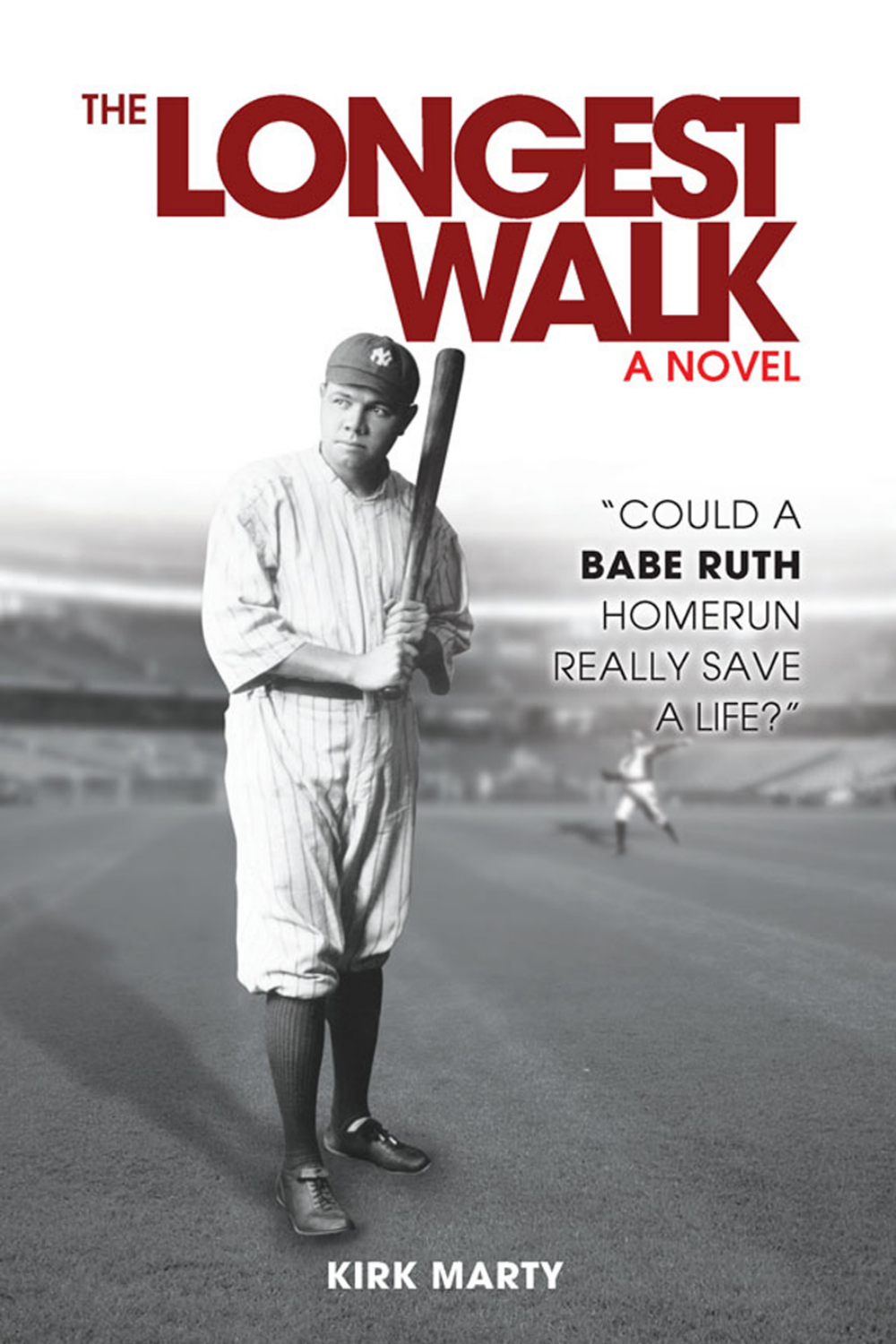

"COULD A **BABE RUTH HOMERUN REALLY SAVE** A LIFE?"

### **KIRK MARTY**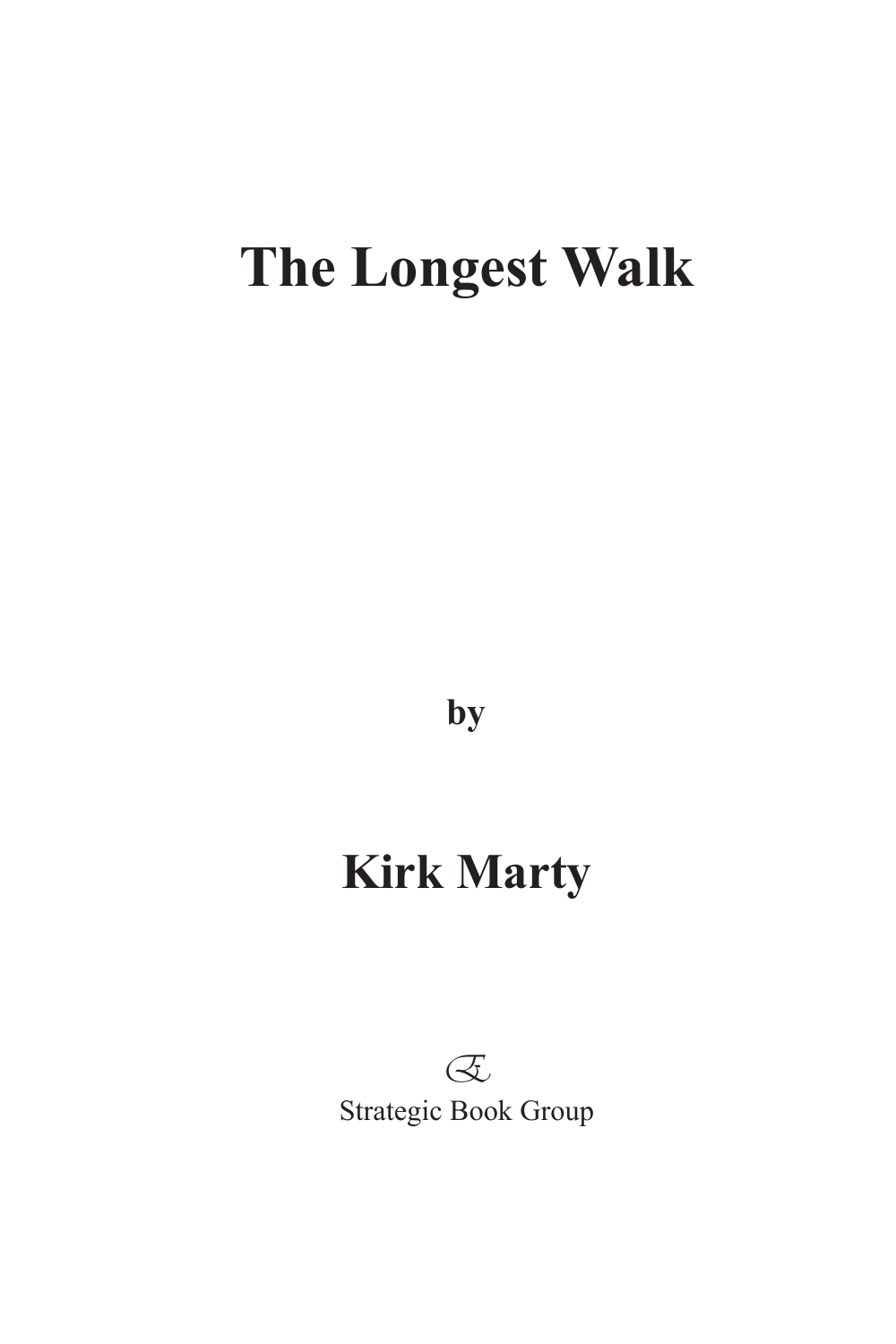# **The Longest Walk**

**by** 

## **Kirk Marty**

 $\overline{\mathcal{L}}$ Strategic Book Group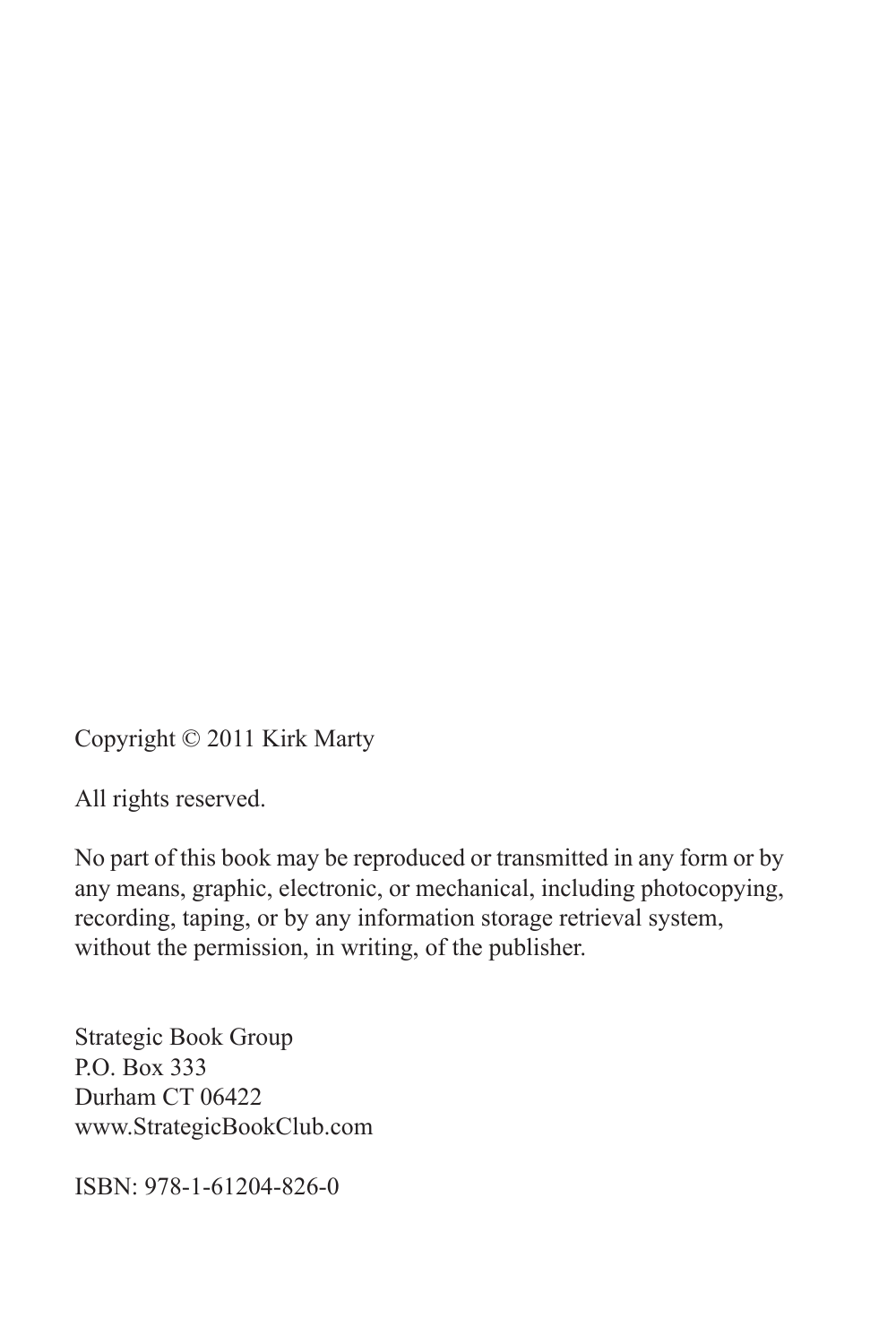Copyright © 2011 Kirk Marty

All rights reserved.

No part of this book may be reproduced or transmitted in any form or by any means, graphic, electronic, or mechanical, including photocopying, recording, taping, or by any information storage retrieval system, without the permission, in writing, of the publisher.

Strategic Book Group P.O. Box 333 Durham CT 06422 www.StrategicBookClub.com

ISBN: 978-1-61204-826-0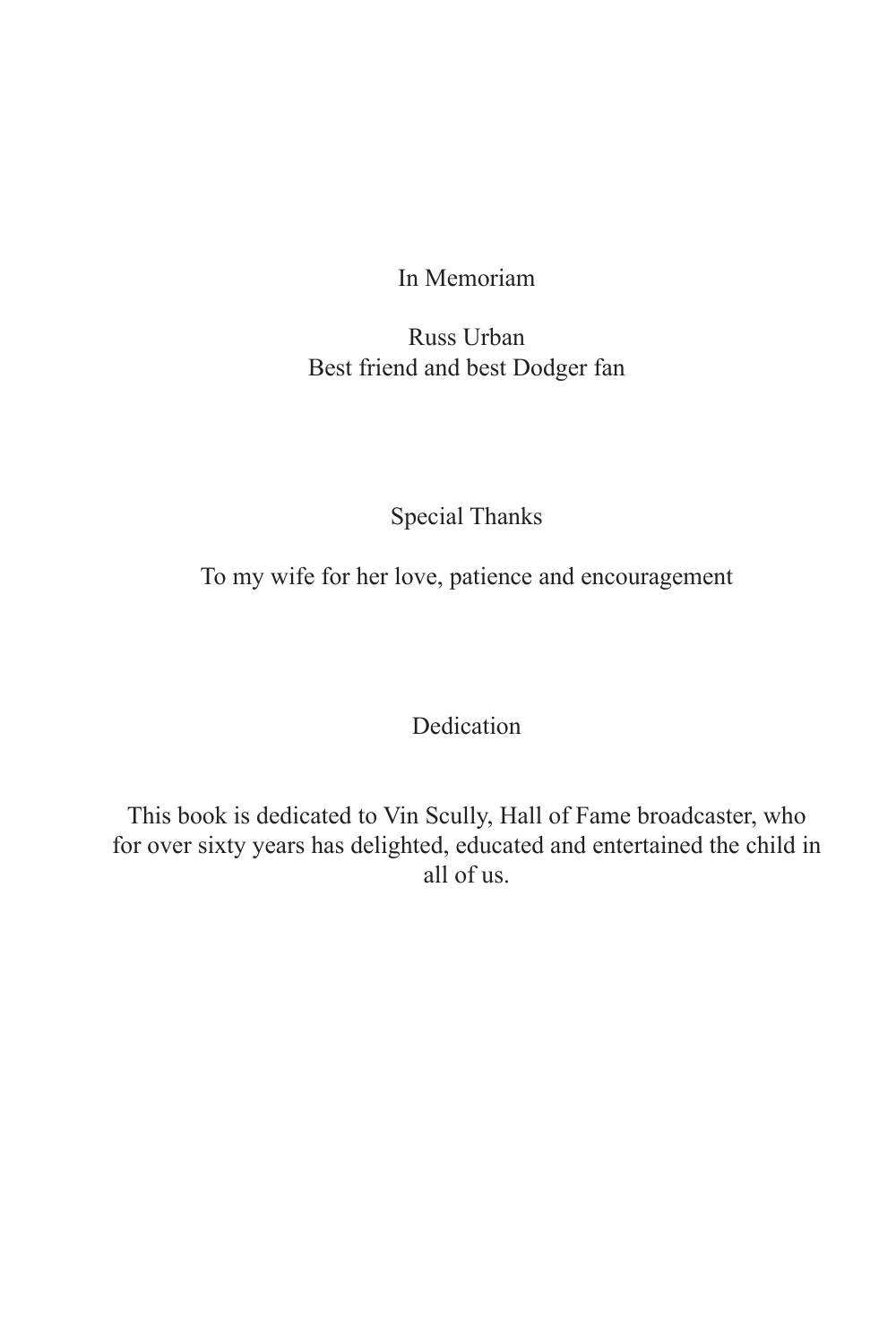In Memoriam

Russ Urban Best friend and best Dodger fan

Special Thanks

To my wife for her love, patience and encouragement

**Dedication** 

This book is dedicated to Vin Scully, Hall of Fame broadcaster, who for over sixty years has delighted, educated and entertained the child in all of us.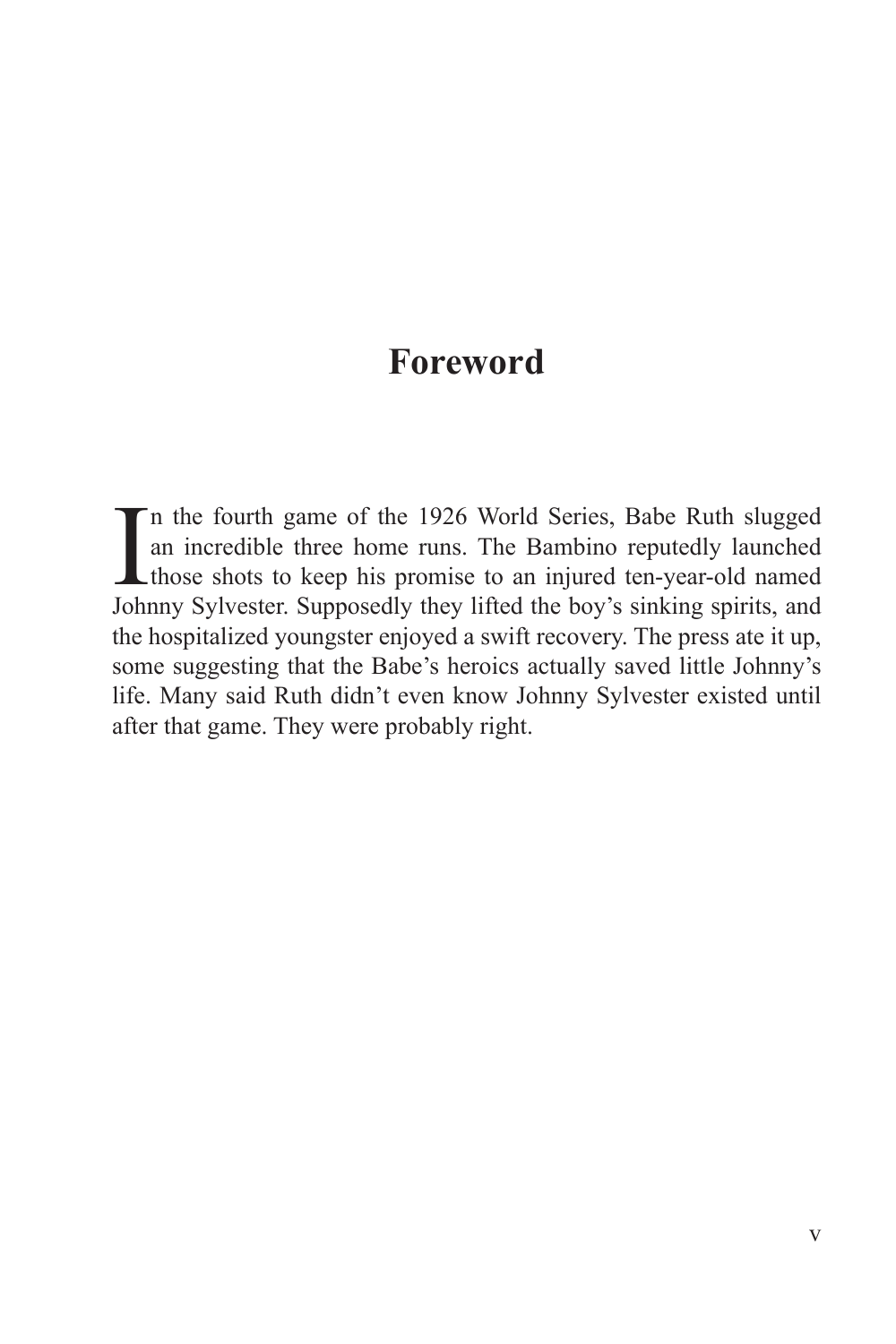#### **Foreword**

 $\prod_{\text{John}}$ n the fourth game of the 1926 World Series, Babe Ruth slugged an incredible three home runs. The Bambino reputedly launched those shots to keep his promise to an injured ten-year-old named Johnny Sylvester. Supposedly they lifted the boy's sinking spirits, and the hospitalized youngster enjoyed a swift recovery. The press ate it up, some suggesting that the Babe's heroics actually saved little Johnny's life. Many said Ruth didn't even know Johnny Sylvester existed until after that game. They were probably right.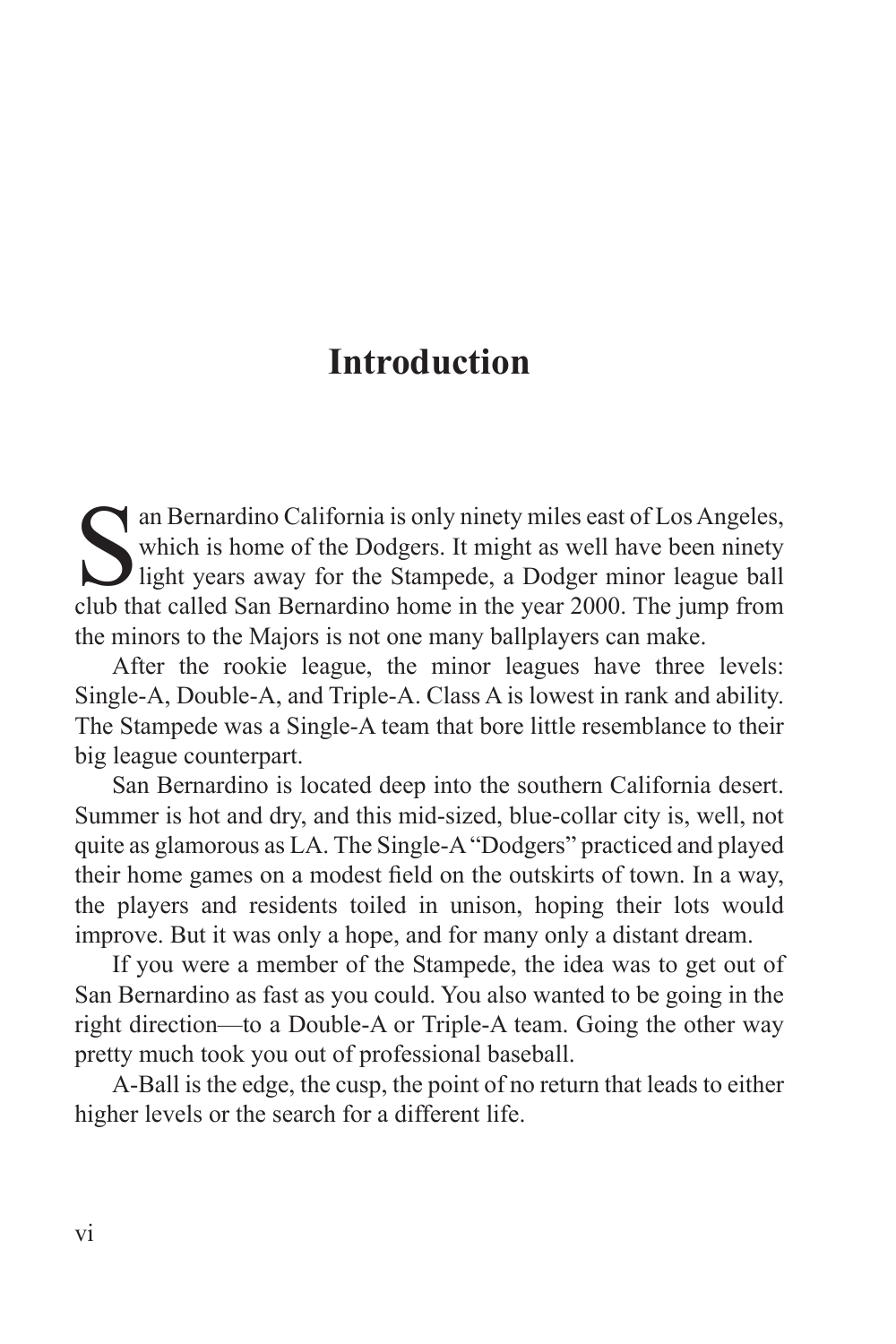#### **Introduction**

an Bernardino California is only ninety miles east of Los Angeles,<br>which is home of the Dodgers. It might as well have been ninety<br>light years away for the Stampede, a Dodger minor league ball<br>club that called San Bernardi club that called San Bernardino home in the year 2000. The jump from the minors to the Majors is not one many ballplayers can make. which is home of the Dodgers. It might as well have been ninety light years away for the Stampede, a Dodger minor league ball

After the rookie league, the minor leagues have three levels: Single-A, Double-A, and Triple-A. Class A is lowest in rank and ability. The Stampede was a Single-A team that bore little resemblance to their big league counterpart.

San Bernardino is located deep into the southern California desert. Summer is hot and dry, and this mid-sized, blue-collar city is, well, not quite as glamorous as LA. The Single-A "Dodgers" practiced and played their home games on a modest field on the outskirts of town. In a way, the players and residents toiled in unison, hoping their lots would improve. But it was only a hope, and for many only a distant dream.

If you were a member of the Stampede, the idea was to get out of San Bernardino as fast as you could. You also wanted to be going in the right direction—to a Double-A or Triple-A team. Going the other way pretty much took you out of professional baseball.

A-Ball is the edge, the cusp, the point of no return that leads to either higher levels or the search for a different life.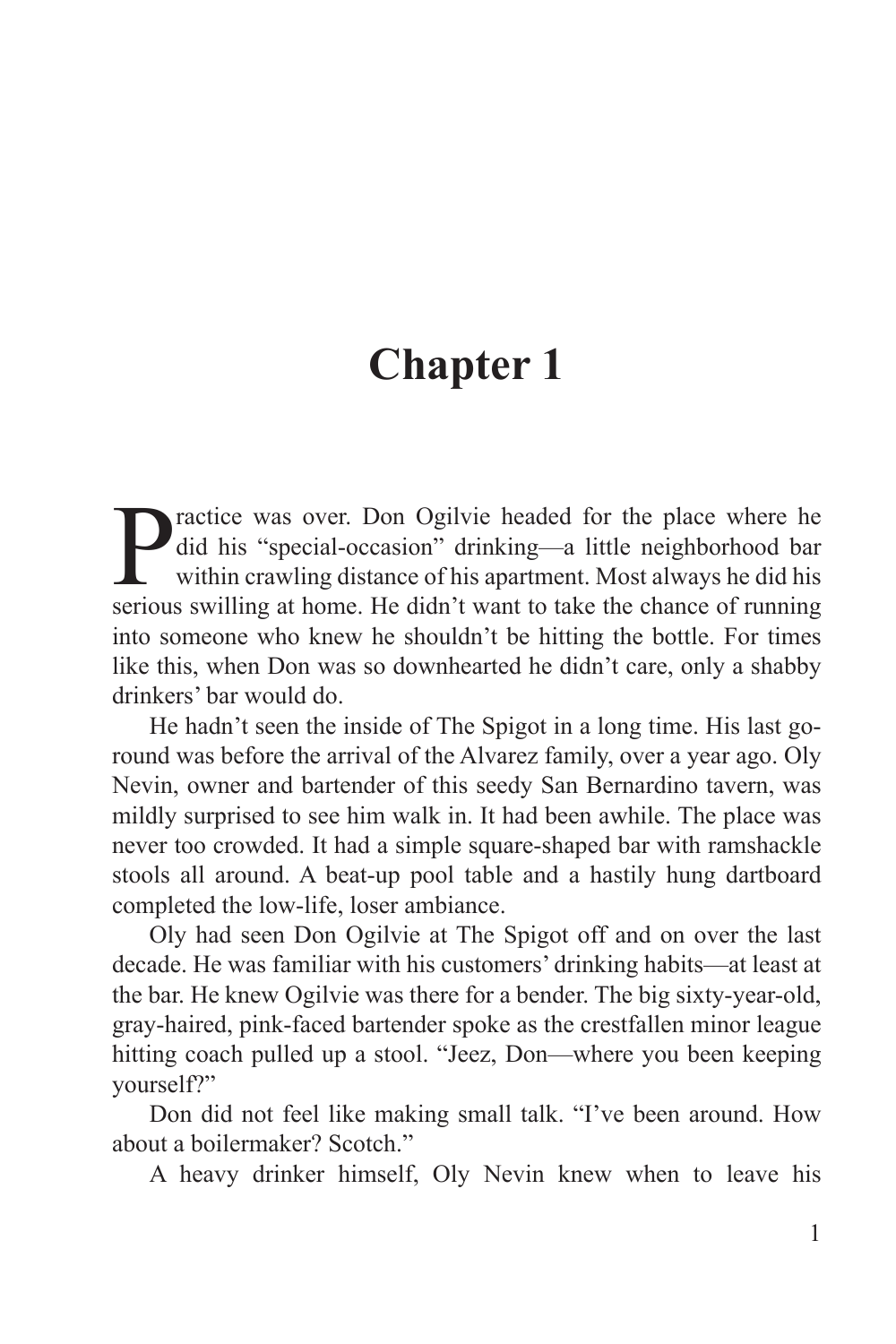## **Chapter 1**

**Practice was over.** Don Ogilvie headed for the place where he did his "special-occasion" drinking—a little neighborhood bar within crawling distance of his apartment. Most always he did his serious swilling at home. He di did his "special-occasion" drinking—a little neighborhood bar within crawling distance of his apartment. Most always he did his serious swilling at home. He didn't want to take the chance of running into someone who knew he shouldn't be hitting the bottle. For times like this, when Don was so downhearted he didn't care, only a shabby drinkers' bar would do.

He hadn't seen the inside of The Spigot in a long time. His last goround was before the arrival of the Alvarez family, over a year ago. Oly Nevin, owner and bartender of this seedy San Bernardino tavern, was mildly surprised to see him walk in. It had been awhile. The place was never too crowded. It had a simple square-shaped bar with ramshackle stools all around. A beat-up pool table and a hastily hung dartboard completed the low-life, loser ambiance.

Oly had seen Don Ogilvie at The Spigot off and on over the last decade. He was familiar with his customers' drinking habits—at least at the bar. He knew Ogilvie was there for a bender. The big sixty-year-old, gray-haired, pink-faced bartender spoke as the crestfallen minor league hitting coach pulled up a stool. "Jeez, Don—where you been keeping yourself?"

Don did not feel like making small talk. "I've been around. How about a boilermaker? Scotch."

A heavy drinker himself, Oly Nevin knew when to leave his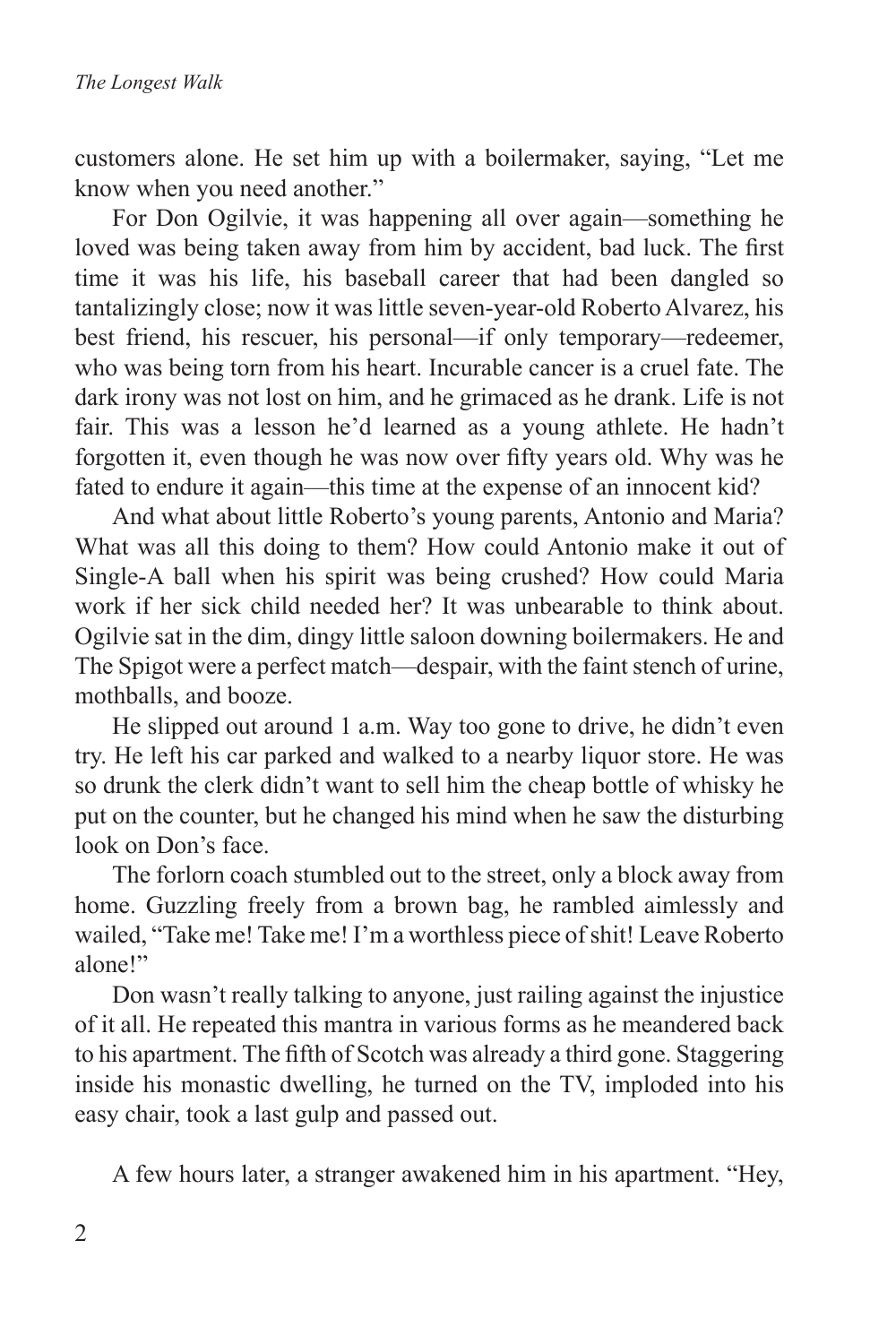customers alone. He set him up with a boilermaker, saying, "Let me know when you need another."

For Don Ogilvie, it was happening all over again—something he loved was being taken away from him by accident, bad luck. The first time it was his life, his baseball career that had been dangled so tantalizingly close; now it was little seven-year-old Roberto Alvarez, his best friend, his rescuer, his personal—if only temporary—redeemer, who was being torn from his heart. Incurable cancer is a cruel fate. The dark irony was not lost on him, and he grimaced as he drank. Life is not fair. This was a lesson he'd learned as a young athlete. He hadn't forgotten it, even though he was now over fifty years old. Why was he fated to endure it again—this time at the expense of an innocent kid?

And what about little Roberto's young parents, Antonio and Maria? What was all this doing to them? How could Antonio make it out of Single-A ball when his spirit was being crushed? How could Maria work if her sick child needed her? It was unbearable to think about. Ogilvie sat in the dim, dingy little saloon downing boilermakers. He and The Spigot were a perfect match—despair, with the faint stench of urine, mothballs, and booze.

He slipped out around 1 a.m. Way too gone to drive, he didn't even try. He left his car parked and walked to a nearby liquor store. He was so drunk the clerk didn't want to sell him the cheap bottle of whisky he put on the counter, but he changed his mind when he saw the disturbing look on Don's face.

The forlorn coach stumbled out to the street, only a block away from home. Guzzling freely from a brown bag, he rambled aimlessly and wailed, "Take me! Take me! I'm a worthless piece of shit! Leave Roberto alone!"

Don wasn't really talking to anyone, just railing against the injustice of it all. He repeated this mantra in various forms as he meandered back to his apartment. The fifth of Scotch was already a third gone. Staggering inside his monastic dwelling, he turned on the TV, imploded into his easy chair, took a last gulp and passed out.

A few hours later, a stranger awakened him in his apartment. "Hey,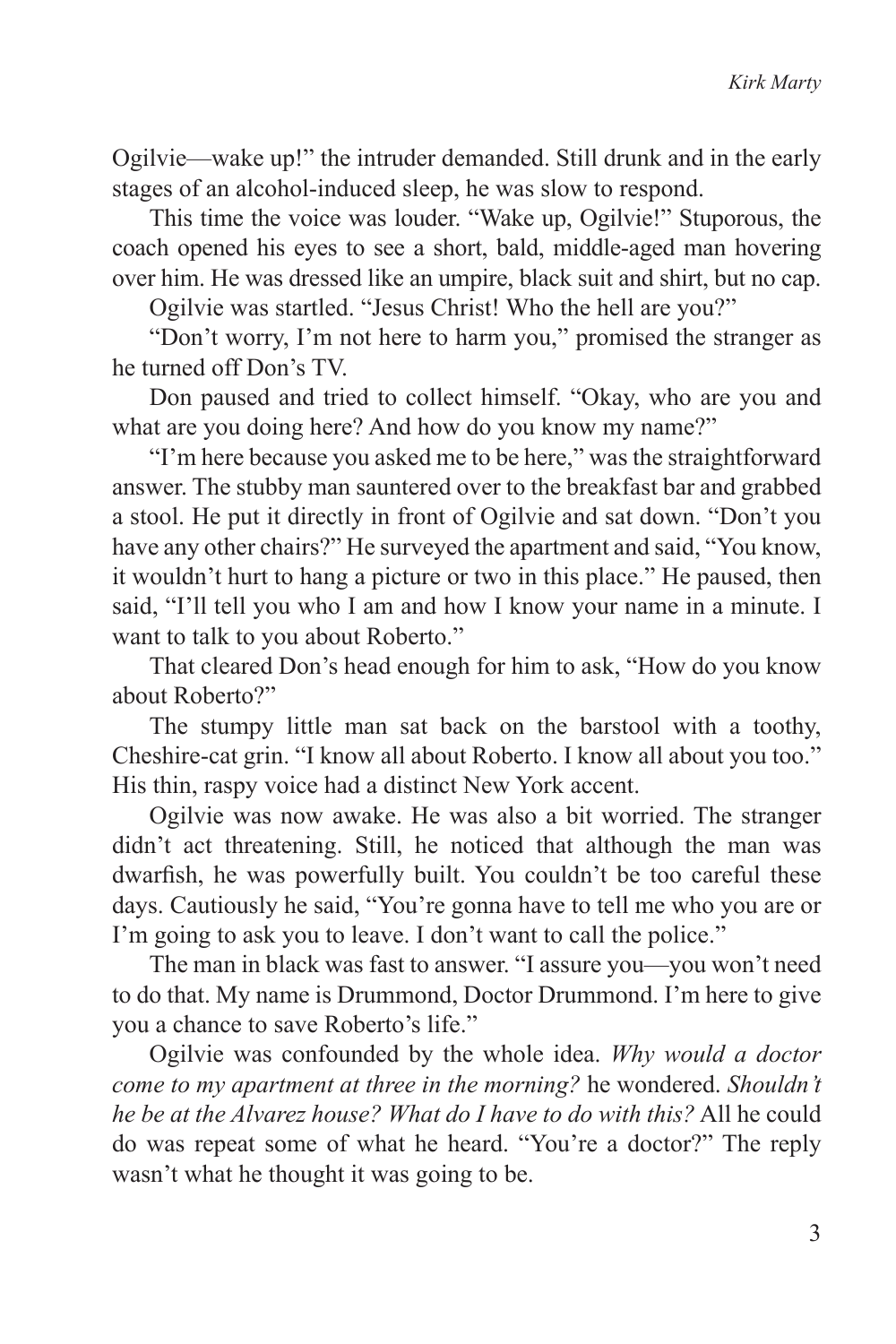Ogilvie—wake up!" the intruder demanded. Still drunk and in the early stages of an alcohol-induced sleep, he was slow to respond.

This time the voice was louder. "Wake up, Ogilvie!" Stuporous, the coach opened his eyes to see a short, bald, middle-aged man hovering over him. He was dressed like an umpire, black suit and shirt, but no cap.

Ogilvie was startled. "Jesus Christ! Who the hell are you?"

"Don't worry, I'm not here to harm you," promised the stranger as he turned off Don's TV.

Don paused and tried to collect himself. "Okay, who are you and what are you doing here? And how do you know my name?"

"I'm here because you asked me to be here," was the straightforward answer. The stubby man sauntered over to the breakfast bar and grabbed a stool. He put it directly in front of Ogilvie and sat down. "Don't you have any other chairs?" He surveyed the apartment and said, "You know, it wouldn't hurt to hang a picture or two in this place." He paused, then said, "I'll tell you who I am and how I know your name in a minute. I want to talk to you about Roberto."

That cleared Don's head enough for him to ask, "How do you know about Roberto?"

The stumpy little man sat back on the barstool with a toothy, Cheshire-cat grin. "I know all about Roberto. I know all about you too." His thin, raspy voice had a distinct New York accent.

Ogilvie was now awake. He was also a bit worried. The stranger didn't act threatening. Still, he noticed that although the man was dwarfish, he was powerfully built. You couldn't be too careful these days. Cautiously he said, "You're gonna have to tell me who you are or I'm going to ask you to leave. I don't want to call the police."

The man in black was fast to answer. "I assure you—you won't need to do that. My name is Drummond, Doctor Drummond. I'm here to give you a chance to save Roberto's life."

Ogilvie was confounded by the whole idea. *Why would a doctor come to my apartment at three in the morning?* he wondered. *Shouldn't he be at the Alvarez house? What do I have to do with this?* All he could do was repeat some of what he heard. "You're a doctor?" The reply wasn't what he thought it was going to be.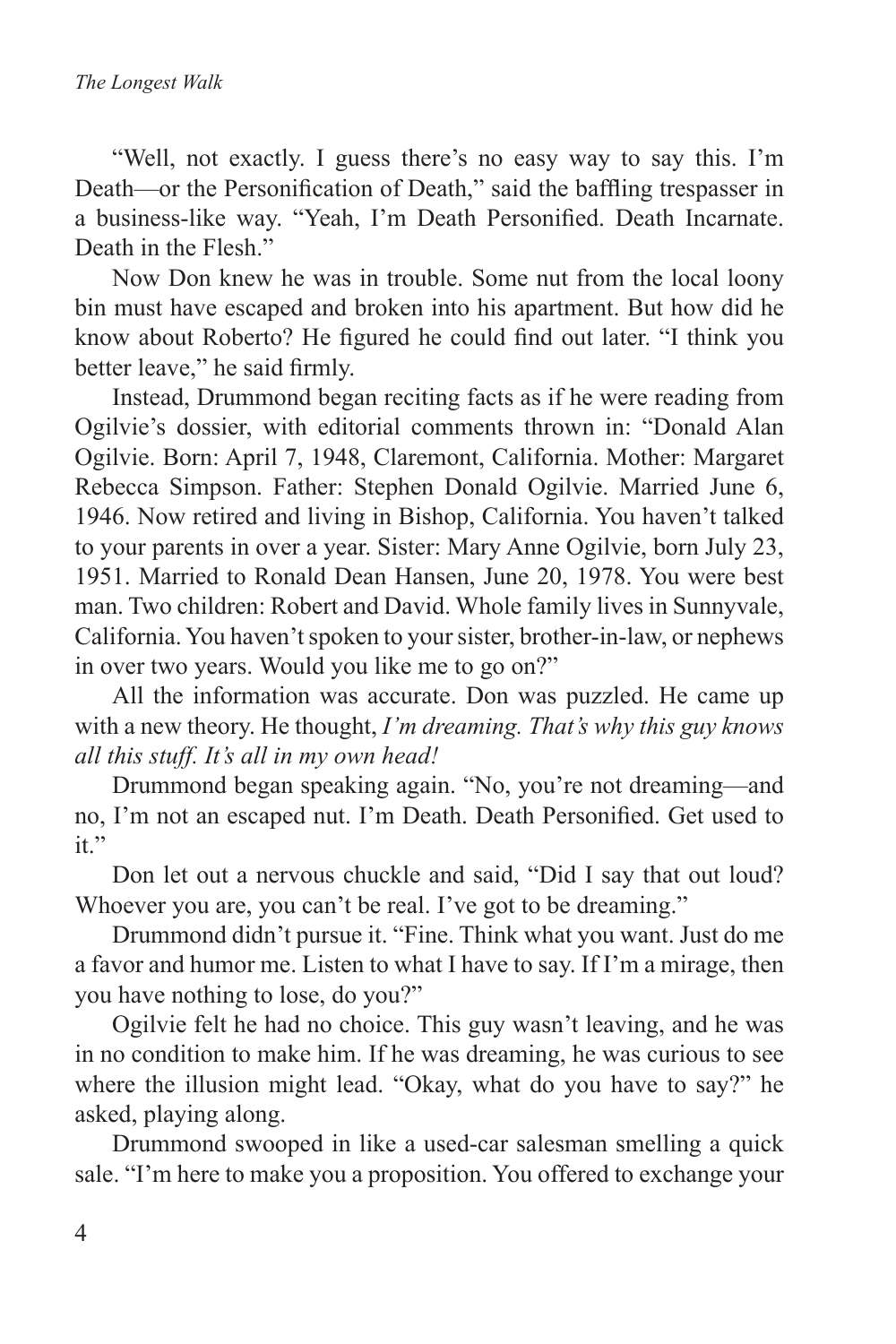"Well, not exactly. I guess there's no easy way to say this. I'm Death—or the Personification of Death," said the baffling trespasser in a business-like way. "Yeah, I'm Death Personified. Death Incarnate. Death in the Flesh."

Now Don knew he was in trouble. Some nut from the local loony bin must have escaped and broken into his apartment. But how did he know about Roberto? He figured he could find out later. "I think you better leave," he said firmly.

Instead, Drummond began reciting facts as if he were reading from Ogilvie's dossier, with editorial comments thrown in: "Donald Alan Ogilvie. Born: April 7, 1948, Claremont, California. Mother: Margaret Rebecca Simpson. Father: Stephen Donald Ogilvie. Married June 6, 1946. Now retired and living in Bishop, California. You haven't talked to your parents in over a year. Sister: Mary Anne Ogilvie, born July 23, 1951. Married to Ronald Dean Hansen, June 20, 1978. You were best man. Two children: Robert and David. Whole family lives in Sunnyvale, California. You haven't spoken to your sister, brother-in-law, or nephews in over two years. Would you like me to go on?"

All the information was accurate. Don was puzzled. He came up with a new theory. He thought, *I'm dreaming. That's why this guy knows all this stuff. It's all in my own head!*

Drummond began speaking again. "No, you're not dreaming—and no, I'm not an escaped nut. I'm Death. Death Personified. Get used to  $it$ "

Don let out a nervous chuckle and said, "Did I say that out loud? Whoever you are, you can't be real. I've got to be dreaming."

Drummond didn't pursue it. "Fine. Think what you want. Just do me a favor and humor me. Listen to what I have to say. If I'm a mirage, then you have nothing to lose, do you?"

Ogilvie felt he had no choice. This guy wasn't leaving, and he was in no condition to make him. If he was dreaming, he was curious to see where the illusion might lead. "Okay, what do you have to say?" he asked, playing along.

Drummond swooped in like a used-car salesman smelling a quick sale. "I'm here to make you a proposition. You offered to exchange your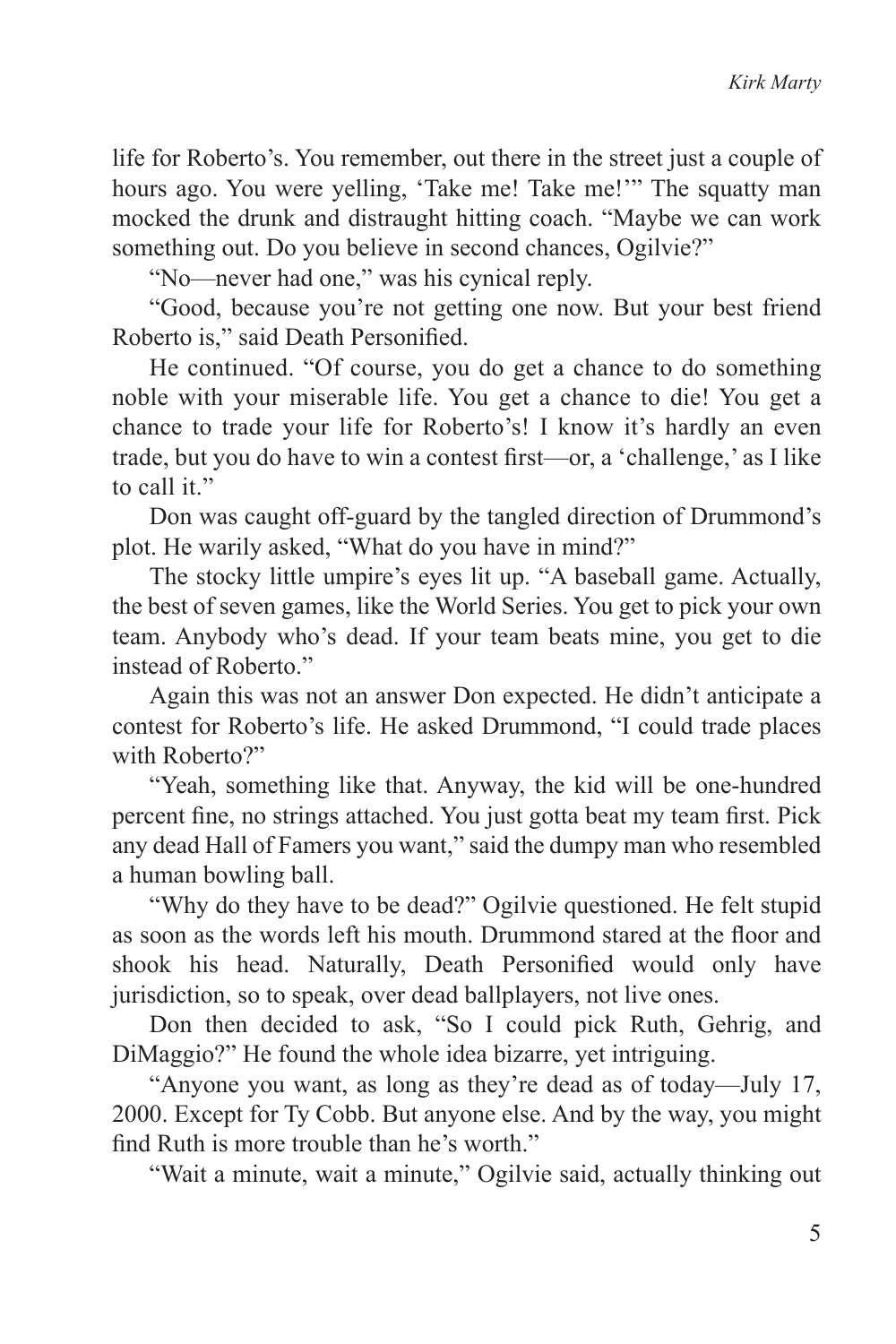life for Roberto's. You remember, out there in the street just a couple of hours ago. You were yelling, 'Take me! Take me!'" The squatty man mocked the drunk and distraught hitting coach. "Maybe we can work something out. Do you believe in second chances, Ogilvie?"

"No—never had one," was his cynical reply.

"Good, because you're not getting one now. But your best friend Roberto is," said Death Personified.

He continued. "Of course, you do get a chance to do something noble with your miserable life. You get a chance to die! You get a chance to trade your life for Roberto's! I know it's hardly an even trade, but you do have to win a contest first—or, a 'challenge,' as I like to call it."

Don was caught off-guard by the tangled direction of Drummond's plot. He warily asked, "What do you have in mind?"

The stocky little umpire's eyes lit up. "A baseball game. Actually, the best of seven games, like the World Series. You get to pick your own team. Anybody who's dead. If your team beats mine, you get to die instead of Roberto."

Again this was not an answer Don expected. He didn't anticipate a contest for Roberto's life. He asked Drummond, "I could trade places with Roberto?"

"Yeah, something like that. Anyway, the kid will be one-hundred percent fine, no strings attached. You just gotta beat my team first. Pick any dead Hall of Famers you want," said the dumpy man who resembled a human bowling ball.

"Why do they have to be dead?" Ogilvie questioned. He felt stupid as soon as the words left his mouth. Drummond stared at the floor and shook his head. Naturally, Death Personified would only have jurisdiction, so to speak, over dead ballplayers, not live ones.

Don then decided to ask, "So I could pick Ruth, Gehrig, and DiMaggio?" He found the whole idea bizarre, yet intriguing.

"Anyone you want, as long as they're dead as of today—July 17, 2000. Except for Ty Cobb. But anyone else. And by the way, you might find Ruth is more trouble than he's worth."

"Wait a minute, wait a minute," Ogilvie said, actually thinking out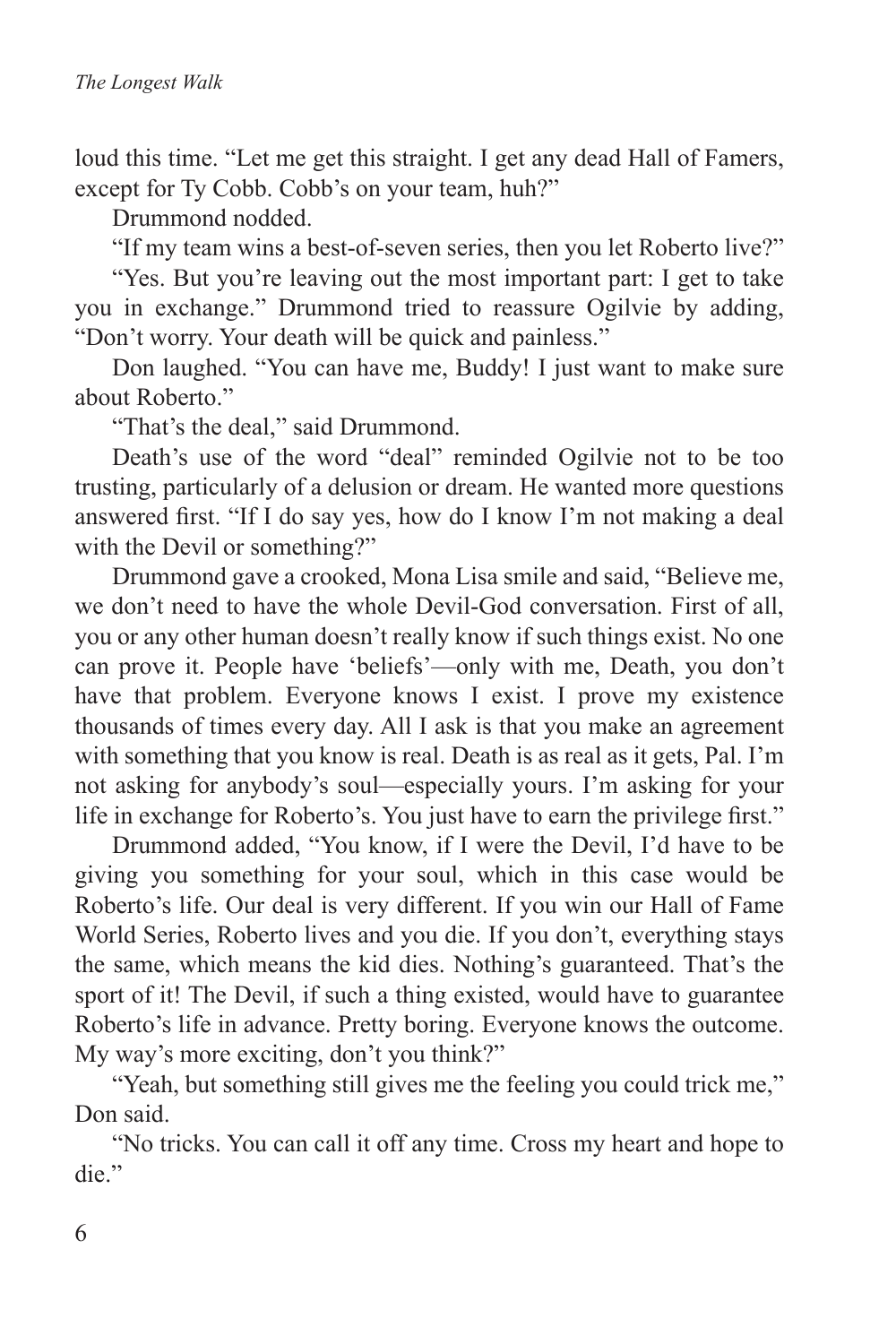loud this time. "Let me get this straight. I get any dead Hall of Famers, except for Ty Cobb. Cobb's on your team, huh?"

Drummond nodded.

"If my team wins a best-of-seven series, then you let Roberto live?"

"Yes. But you're leaving out the most important part: I get to take you in exchange." Drummond tried to reassure Ogilvie by adding, "Don't worry. Your death will be quick and painless."

Don laughed. "You can have me, Buddy! I just want to make sure about Roberto."

"That's the deal," said Drummond.

Death's use of the word "deal" reminded Ogilvie not to be too trusting, particularly of a delusion or dream. He wanted more questions answered first. "If I do say yes, how do I know I'm not making a deal with the Devil or something?"

Drummond gave a crooked, Mona Lisa smile and said, "Believe me, we don't need to have the whole Devil-God conversation. First of all, you or any other human doesn't really know if such things exist. No one can prove it. People have 'beliefs'—only with me, Death, you don't have that problem. Everyone knows I exist. I prove my existence thousands of times every day. All I ask is that you make an agreement with something that you know is real. Death is as real as it gets, Pal. I'm not asking for anybody's soul—especially yours. I'm asking for your life in exchange for Roberto's. You just have to earn the privilege first."

Drummond added, "You know, if I were the Devil, I'd have to be giving you something for your soul, which in this case would be Roberto's life. Our deal is very different. If you win our Hall of Fame World Series, Roberto lives and you die. If you don't, everything stays the same, which means the kid dies. Nothing's guaranteed. That's the sport of it! The Devil, if such a thing existed, would have to guarantee Roberto's life in advance. Pretty boring. Everyone knows the outcome. My way's more exciting, don't you think?"

"Yeah, but something still gives me the feeling you could trick me," Don said.

"No tricks. You can call it off any time. Cross my heart and hope to die."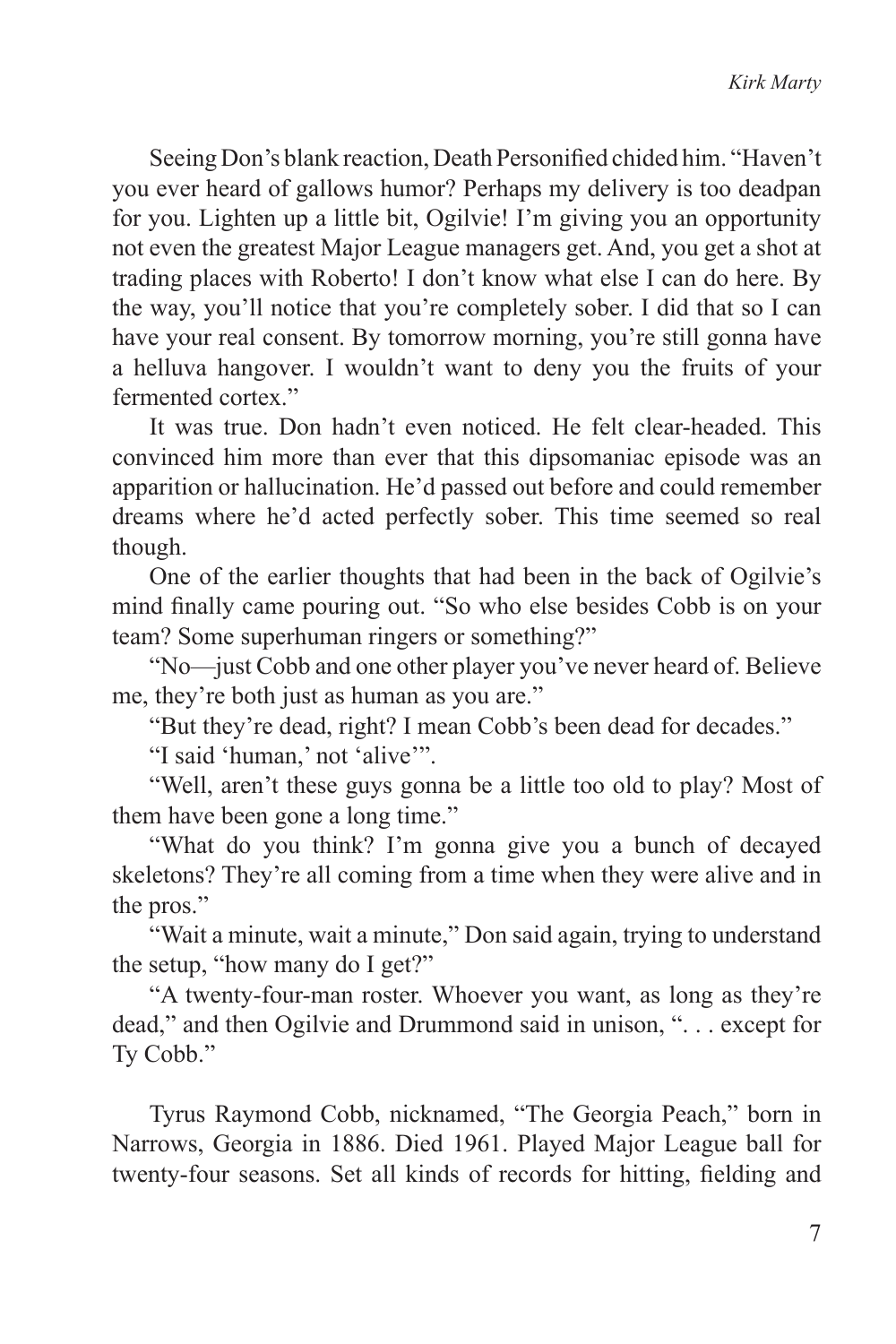Seeing Don's blank reaction, Death Personified chided him. "Haven't you ever heard of gallows humor? Perhaps my delivery is too deadpan for you. Lighten up a little bit, Ogilvie! I'm giving you an opportunity not even the greatest Major League managers get. And, you get a shot at trading places with Roberto! I don't know what else I can do here. By the way, you'll notice that you're completely sober. I did that so I can have your real consent. By tomorrow morning, you're still gonna have a helluva hangover. I wouldn't want to deny you the fruits of your fermented cortex."

It was true. Don hadn't even noticed. He felt clear-headed. This convinced him more than ever that this dipsomaniac episode was an apparition or hallucination. He'd passed out before and could remember dreams where he'd acted perfectly sober. This time seemed so real though.

One of the earlier thoughts that had been in the back of Ogilvie's mind finally came pouring out. "So who else besides Cobb is on your team? Some superhuman ringers or something?"

"No—just Cobb and one other player you've never heard of. Believe me, they're both just as human as you are."

"But they're dead, right? I mean Cobb's been dead for decades."

"I said 'human,' not 'alive'".

"Well, aren't these guys gonna be a little too old to play? Most of them have been gone a long time."

"What do you think? I'm gonna give you a bunch of decayed skeletons? They're all coming from a time when they were alive and in the pros."

"Wait a minute, wait a minute," Don said again, trying to understand the setup, "how many do I get?"

"A twenty-four-man roster. Whoever you want, as long as they're dead," and then Ogilvie and Drummond said in unison, ". . . except for Ty Cobb."

Tyrus Raymond Cobb, nicknamed, "The Georgia Peach," born in Narrows, Georgia in 1886. Died 1961. Played Major League ball for twenty-four seasons. Set all kinds of records for hitting, fielding and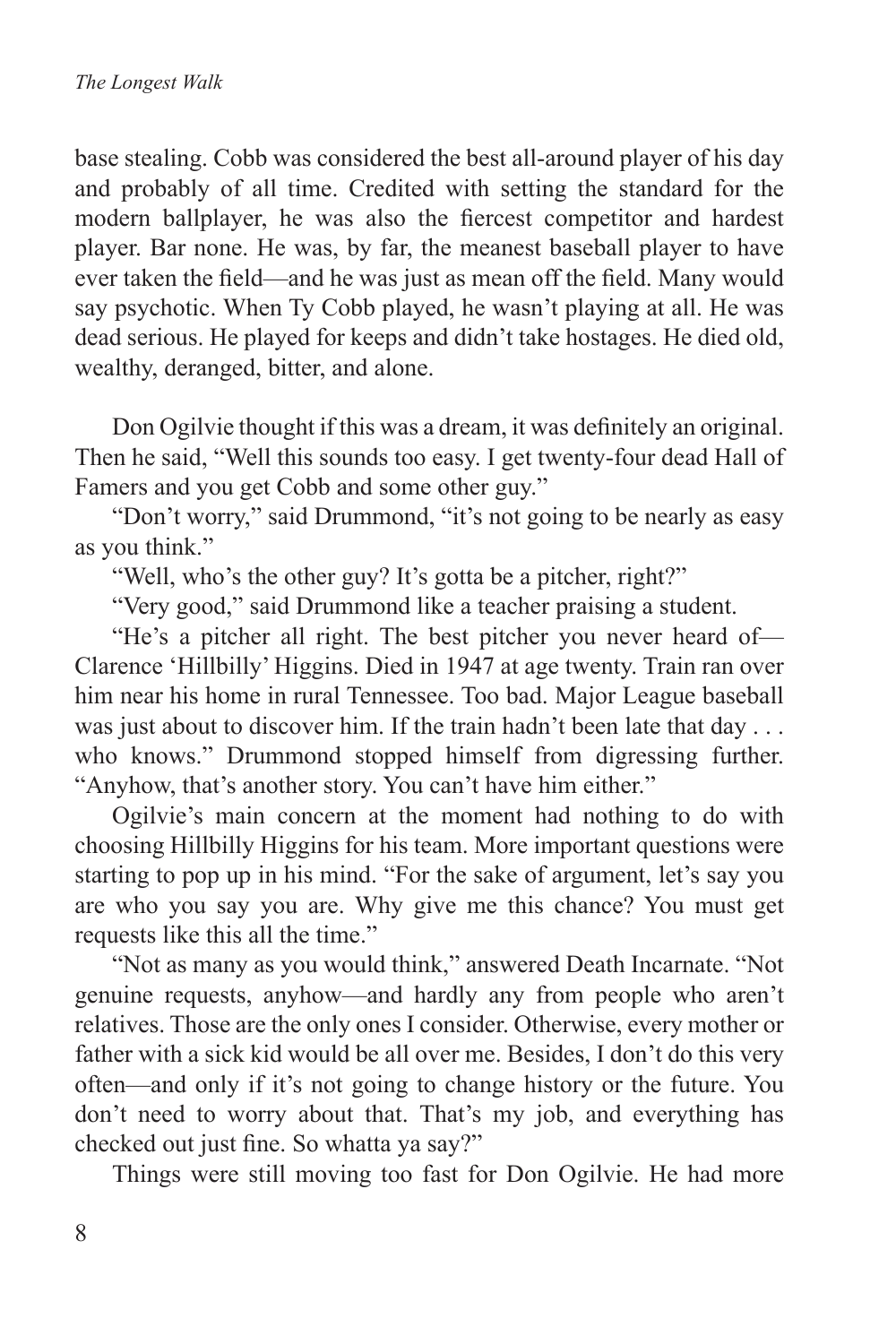base stealing. Cobb was considered the best all-around player of his day and probably of all time. Credited with setting the standard for the modern ballplayer, he was also the fiercest competitor and hardest player. Bar none. He was, by far, the meanest baseball player to have ever taken the field—and he was just as mean off the field. Many would say psychotic. When Ty Cobb played, he wasn't playing at all. He was dead serious. He played for keeps and didn't take hostages. He died old, wealthy, deranged, bitter, and alone.

Don Ogilvie thought if this was a dream, it was definitely an original. Then he said, "Well this sounds too easy. I get twenty-four dead Hall of Famers and you get Cobb and some other guy."

"Don't worry," said Drummond, "it's not going to be nearly as easy as you think."

"Well, who's the other guy? It's gotta be a pitcher, right?"

"Very good," said Drummond like a teacher praising a student.

"He's a pitcher all right. The best pitcher you never heard of— Clarence 'Hillbilly' Higgins. Died in 1947 at age twenty. Train ran over him near his home in rural Tennessee. Too bad. Major League baseball was just about to discover him. If the train hadn't been late that day ... who knows." Drummond stopped himself from digressing further. "Anyhow, that's another story. You can't have him either."

Ogilvie's main concern at the moment had nothing to do with choosing Hillbilly Higgins for his team. More important questions were starting to pop up in his mind. "For the sake of argument, let's say you are who you say you are. Why give me this chance? You must get requests like this all the time."

"Not as many as you would think," answered Death Incarnate. "Not genuine requests, anyhow—and hardly any from people who aren't relatives. Those are the only ones I consider. Otherwise, every mother or father with a sick kid would be all over me. Besides, I don't do this very often—and only if it's not going to change history or the future. You don't need to worry about that. That's my job, and everything has checked out just fine. So whatta ya say?"

Things were still moving too fast for Don Ogilvie. He had more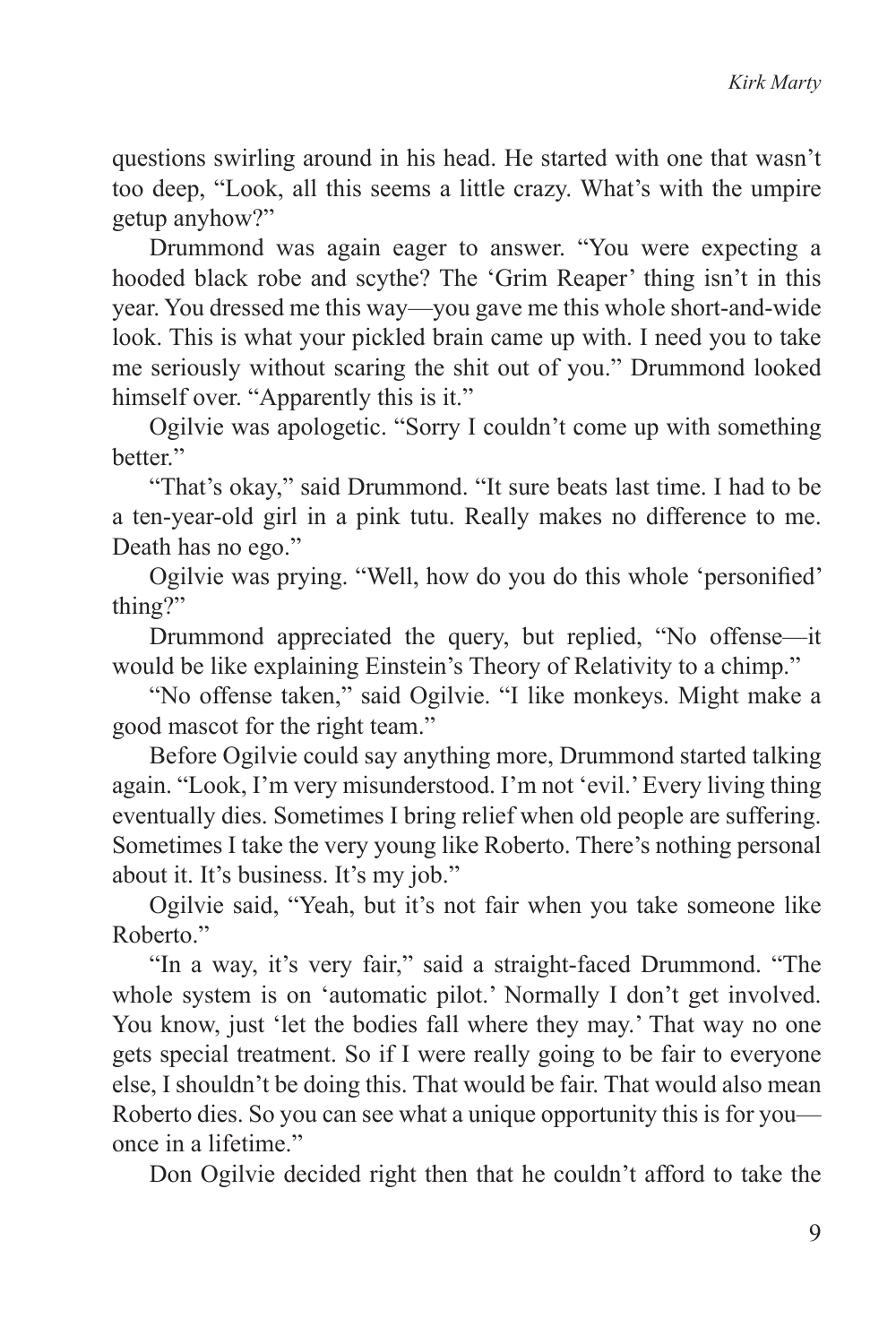questions swirling around in his head. He started with one that wasn't too deep, "Look, all this seems a little crazy. What's with the umpire getup anyhow?"

Drummond was again eager to answer. "You were expecting a hooded black robe and scythe? The 'Grim Reaper' thing isn't in this year. You dressed me this way—you gave me this whole short-and-wide look. This is what your pickled brain came up with. I need you to take me seriously without scaring the shit out of you." Drummond looked himself over. "Apparently this is it."

Ogilvie was apologetic. "Sorry I couldn't come up with something hetter"

"That's okay," said Drummond. "It sure beats last time. I had to be a ten-year-old girl in a pink tutu. Really makes no difference to me. Death has no ego."

Ogilvie was prying. "Well, how do you do this whole 'personified' thing?"

Drummond appreciated the query, but replied, "No offense—it would be like explaining Einstein's Theory of Relativity to a chimp."

"No offense taken," said Ogilvie. "I like monkeys. Might make a good mascot for the right team."

Before Ogilvie could say anything more, Drummond started talking again. "Look, I'm very misunderstood. I'm not 'evil.' Every living thing eventually dies. Sometimes I bring relief when old people are suffering. Sometimes I take the very young like Roberto. There's nothing personal about it. It's business. It's my job."

Ogilvie said, "Yeah, but it's not fair when you take someone like Roberto."

"In a way, it's very fair," said a straight-faced Drummond. "The whole system is on 'automatic pilot.' Normally I don't get involved. You know, just 'let the bodies fall where they may.' That way no one gets special treatment. So if I were really going to be fair to everyone else, I shouldn't be doing this. That would be fair. That would also mean Roberto dies. So you can see what a unique opportunity this is for you once in a lifetime."

Don Ogilvie decided right then that he couldn't afford to take the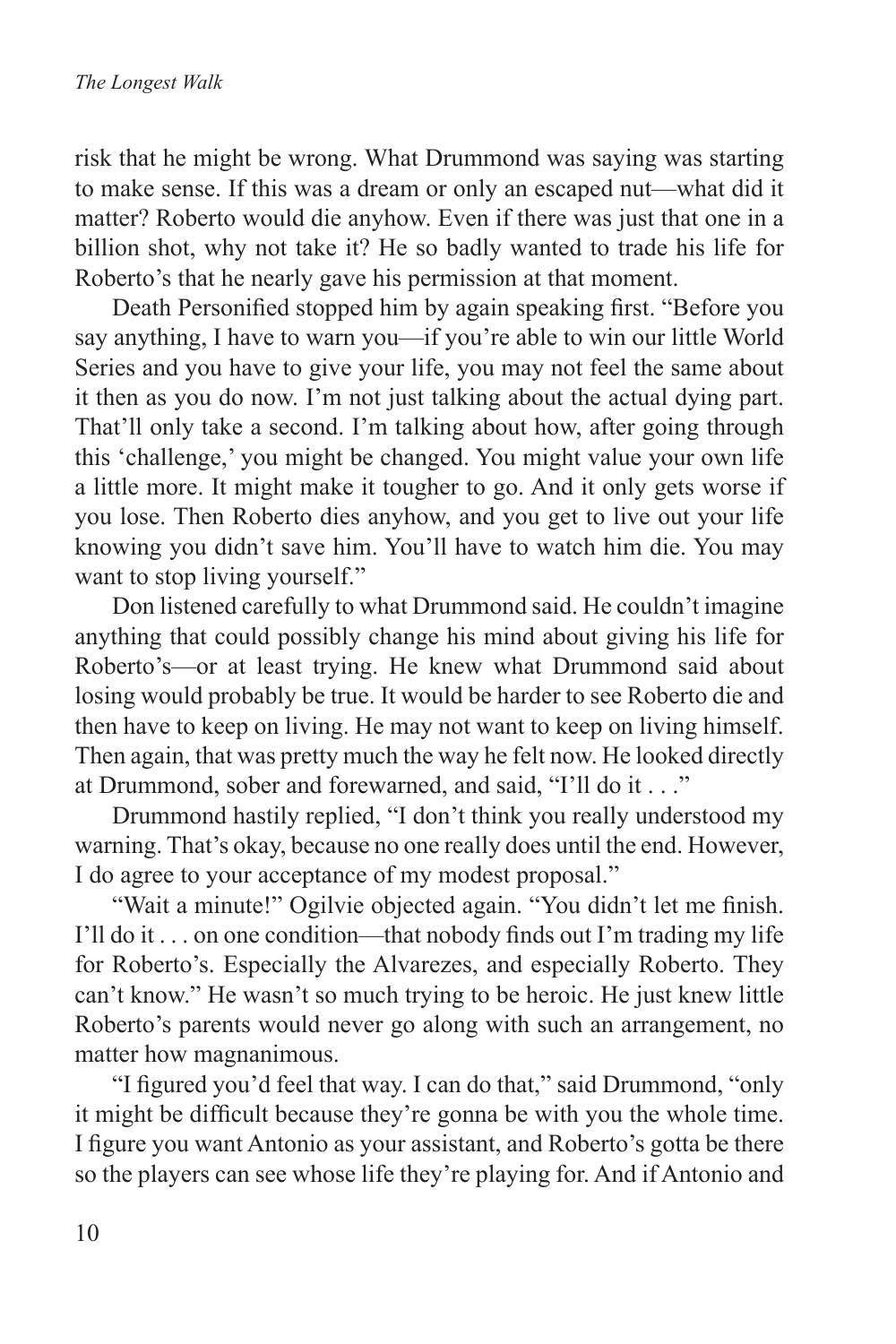risk that he might be wrong. What Drummond was saying was starting to make sense. If this was a dream or only an escaped nut—what did it matter? Roberto would die anyhow. Even if there was just that one in a billion shot, why not take it? He so badly wanted to trade his life for Roberto's that he nearly gave his permission at that moment.

Death Personified stopped him by again speaking first. "Before you say anything, I have to warn you—if you're able to win our little World Series and you have to give your life, you may not feel the same about it then as you do now. I'm not just talking about the actual dying part. That'll only take a second. I'm talking about how, after going through this 'challenge,' you might be changed. You might value your own life a little more. It might make it tougher to go. And it only gets worse if you lose. Then Roberto dies anyhow, and you get to live out your life knowing you didn't save him. You'll have to watch him die. You may want to stop living yourself."

Don listened carefully to what Drummond said. He couldn't imagine anything that could possibly change his mind about giving his life for Roberto's—or at least trying. He knew what Drummond said about losing would probably be true. It would be harder to see Roberto die and then have to keep on living. He may not want to keep on living himself. Then again, that was pretty much the way he felt now. He looked directly at Drummond, sober and forewarned, and said, "I'll do it . . ."

Drummond hastily replied, "I don't think you really understood my warning. That's okay, because no one really does until the end. However, I do agree to your acceptance of my modest proposal."

"Wait a minute!" Ogilvie objected again. "You didn't let me finish. I'll do it . . . on one condition—that nobody finds out I'm trading my life for Roberto's. Especially the Alvarezes, and especially Roberto. They can't know." He wasn't so much trying to be heroic. He just knew little Roberto's parents would never go along with such an arrangement, no matter how magnanimous.

"I figured you'd feel that way. I can do that," said Drummond, "only it might be difficult because they're gonna be with you the whole time. I figure you want Antonio as your assistant, and Roberto's gotta be there so the players can see whose life they're playing for. And if Antonio and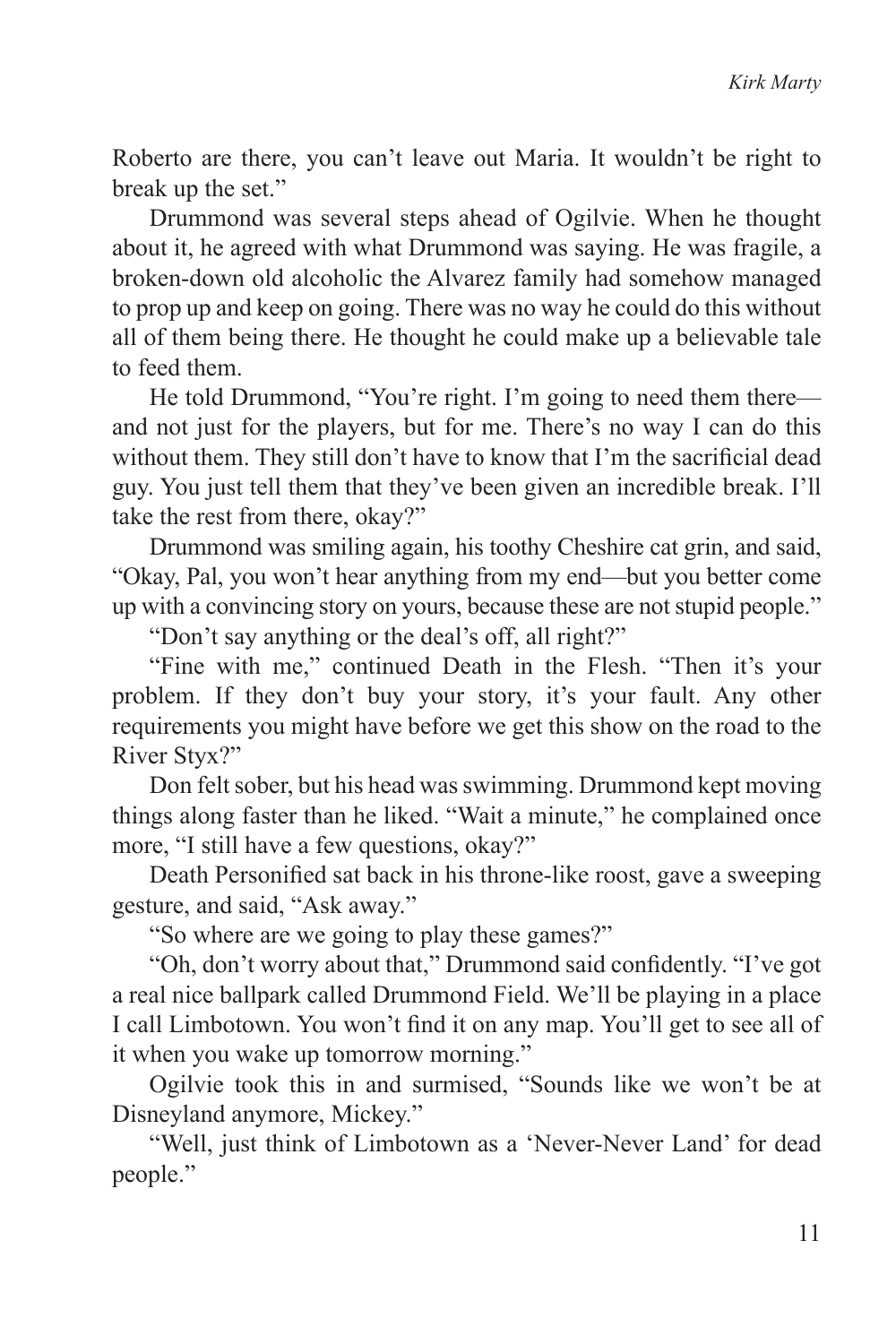Roberto are there, you can't leave out Maria. It wouldn't be right to break up the set."

Drummond was several steps ahead of Ogilvie. When he thought about it, he agreed with what Drummond was saying. He was fragile, a broken-down old alcoholic the Alvarez family had somehow managed to prop up and keep on going. There was no way he could do this without all of them being there. He thought he could make up a believable tale to feed them.

He told Drummond, "You're right. I'm going to need them there and not just for the players, but for me. There's no way I can do this without them. They still don't have to know that I'm the sacrificial dead guy. You just tell them that they've been given an incredible break. I'll take the rest from there, okay?"

Drummond was smiling again, his toothy Cheshire cat grin, and said, "Okay, Pal, you won't hear anything from my end—but you better come up with a convincing story on yours, because these are not stupid people."

"Don't say anything or the deal's off, all right?"

"Fine with me," continued Death in the Flesh. "Then it's your problem. If they don't buy your story, it's your fault. Any other requirements you might have before we get this show on the road to the River Styx?"

Don felt sober, but his head was swimming. Drummond kept moving things along faster than he liked. "Wait a minute," he complained once more, "I still have a few questions, okay?"

Death Personified sat back in his throne-like roost, gave a sweeping gesture, and said, "Ask away."

"So where are we going to play these games?"

"Oh, don't worry about that," Drummond said confidently. "I've got a real nice ballpark called Drummond Field. We'll be playing in a place I call Limbotown. You won't find it on any map. You'll get to see all of it when you wake up tomorrow morning."

Ogilvie took this in and surmised, "Sounds like we won't be at Disneyland anymore, Mickey."

"Well, just think of Limbotown as a 'Never-Never Land' for dead people."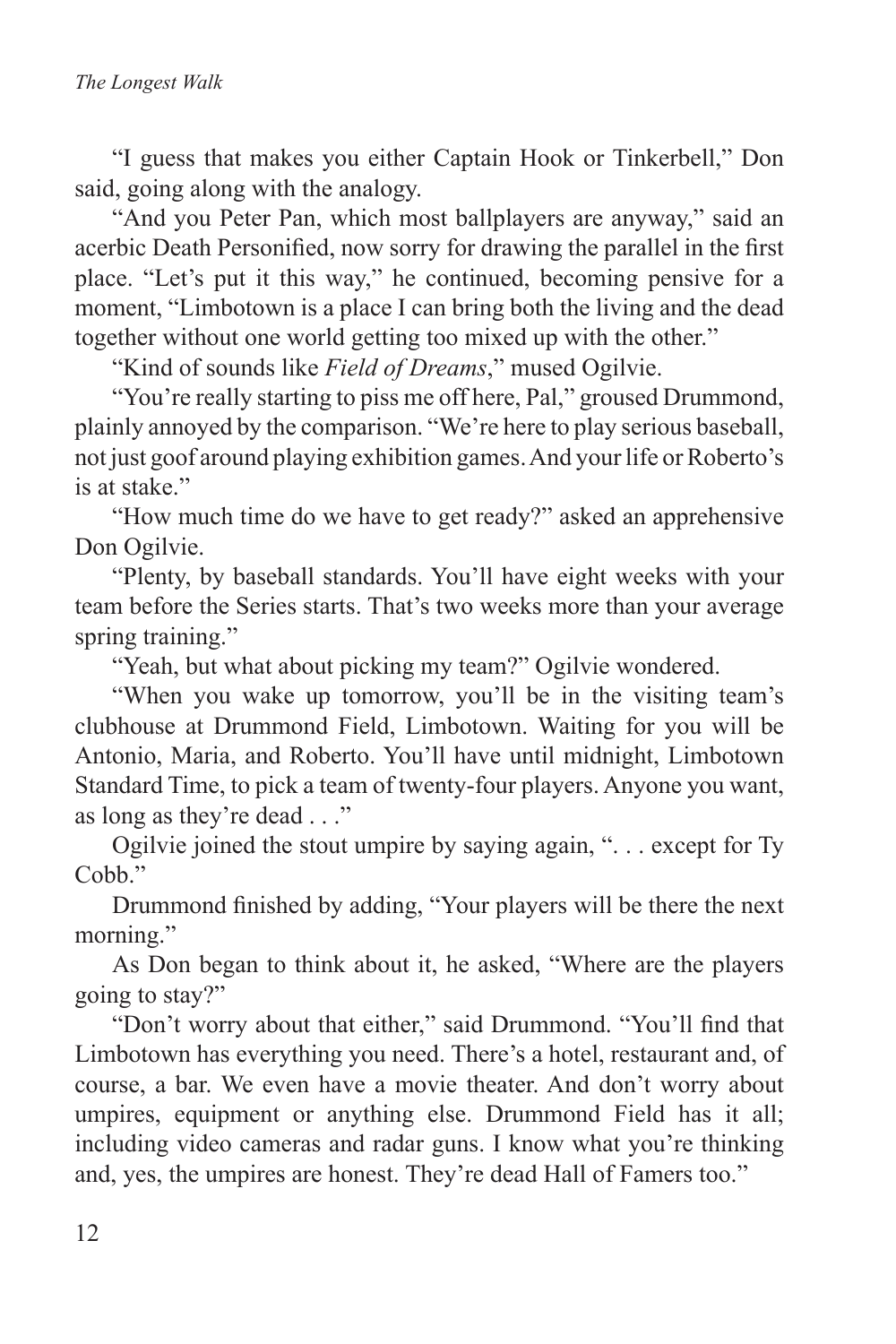"I guess that makes you either Captain Hook or Tinkerbell," Don said, going along with the analogy.

"And you Peter Pan, which most ballplayers are anyway," said an acerbic Death Personified, now sorry for drawing the parallel in the first place. "Let's put it this way," he continued, becoming pensive for a moment, "Limbotown is a place I can bring both the living and the dead together without one world getting too mixed up with the other."

"Kind of sounds like *Field of Dreams*," mused Ogilvie.

"You're really starting to piss me off here, Pal," groused Drummond, plainly annoyed by the comparison. "We're here to play serious baseball, not just goof around playing exhibition games. And your life or Roberto's is at stake."

"How much time do we have to get ready?" asked an apprehensive Don Ogilvie.

"Plenty, by baseball standards. You'll have eight weeks with your team before the Series starts. That's two weeks more than your average spring training."

"Yeah, but what about picking my team?" Ogilvie wondered.

"When you wake up tomorrow, you'll be in the visiting team's clubhouse at Drummond Field, Limbotown. Waiting for you will be Antonio, Maria, and Roberto. You'll have until midnight, Limbotown Standard Time, to pick a team of twenty-four players. Anyone you want, as long as they're dead . . ."

Ogilvie joined the stout umpire by saying again, ". . . except for Ty Cobb."

Drummond finished by adding, "Your players will be there the next morning."

As Don began to think about it, he asked, "Where are the players going to stay?"

"Don't worry about that either," said Drummond. "You'll find that Limbotown has everything you need. There's a hotel, restaurant and, of course, a bar. We even have a movie theater. And don't worry about umpires, equipment or anything else. Drummond Field has it all; including video cameras and radar guns. I know what you're thinking and, yes, the umpires are honest. They're dead Hall of Famers too."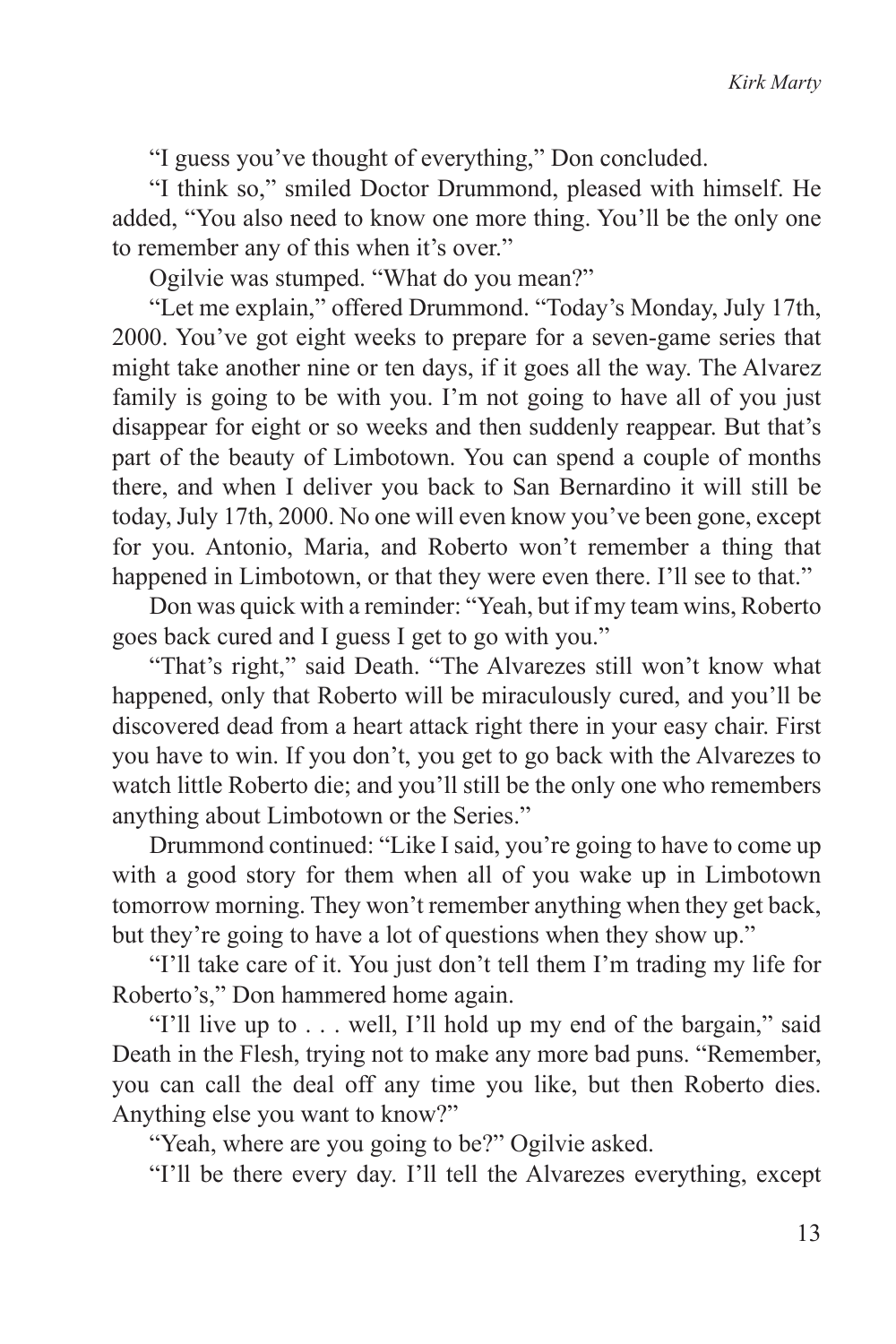"I guess you've thought of everything," Don concluded.

"I think so," smiled Doctor Drummond, pleased with himself. He added, "You also need to know one more thing. You'll be the only one to remember any of this when it's over."

Ogilvie was stumped. "What do you mean?"

"Let me explain," offered Drummond. "Today's Monday, July 17th, 2000. You've got eight weeks to prepare for a seven-game series that might take another nine or ten days, if it goes all the way. The Alvarez family is going to be with you. I'm not going to have all of you just disappear for eight or so weeks and then suddenly reappear. But that's part of the beauty of Limbotown. You can spend a couple of months there, and when I deliver you back to San Bernardino it will still be today, July 17th, 2000. No one will even know you've been gone, except for you. Antonio, Maria, and Roberto won't remember a thing that happened in Limbotown, or that they were even there. I'll see to that."

Don was quick with a reminder: "Yeah, but if my team wins, Roberto goes back cured and I guess I get to go with you."

"That's right," said Death. "The Alvarezes still won't know what happened, only that Roberto will be miraculously cured, and you'll be discovered dead from a heart attack right there in your easy chair. First you have to win. If you don't, you get to go back with the Alvarezes to watch little Roberto die; and you'll still be the only one who remembers anything about Limbotown or the Series."

Drummond continued: "Like I said, you're going to have to come up with a good story for them when all of you wake up in Limbotown tomorrow morning. They won't remember anything when they get back, but they're going to have a lot of questions when they show up."

"I'll take care of it. You just don't tell them I'm trading my life for Roberto's," Don hammered home again.

"I'll live up to . . . well, I'll hold up my end of the bargain," said Death in the Flesh, trying not to make any more bad puns. "Remember, you can call the deal off any time you like, but then Roberto dies. Anything else you want to know?"

"Yeah, where are you going to be?" Ogilvie asked.

"I'll be there every day. I'll tell the Alvarezes everything, except